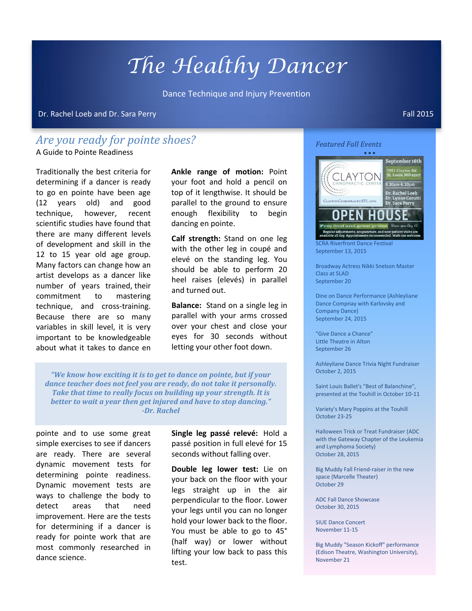## *The Healthy Dancer*

Dance Technique and Injury Prevention

Dr. Rachel Loeb and Dr. Sara Perry Fall 2015 (Fall 2015) and the state of the state of the state of the state o

## *Are you ready for pointe shoes?*

A Guide to Pointe Readiness

Traditionally the best criteria for determining if a dancer is ready to go en pointe have been age (12 years old) and good technique, however, recent scientific studies have found that there are many different levels of development and skill in the 12 to 15 year old age group. Many factors can change how an artist develops as a dancer like number of years trained, their commitment to mastering technique, and cross-training. Because there are so many variables in skill level, it is very important to be knowledgeable about what it takes to dance en

**Ankle range of motion:** Point your foot and hold a pencil on top of it lengthwise. It should be parallel to the ground to ensure enough flexibility to begin dancing en pointe.

**Calf strength:** Stand on one leg with the other leg in coupé and elevé on the standing leg. You should be able to perform 20 heel raises (elevés) in parallel and turned out.

**Balance:** Stand on a single leg in parallel with your arms crossed over your chest and close your eyes for 30 seconds without letting your other foot down.

*"We know how exciting it is to get to dance on pointe, but if your dance teacher does not feel you are ready, do not take it personally. Take that time to really focus on building up your strength. It is better to wait a year then get injured and have to stop dancing." -Dr. Rachel*

pointe and to use some great simple exercises to see if dancers are ready. There are several dynamic movement tests for determining pointe readiness. Dynamic movement tests are ways to challenge the body to detect areas that need improvement. Here are the tests for determining if a dancer is ready for pointe work that are most commonly researched in dance science.

**Single leg passé relevé:** Hold a passé position in full elevé for 15 seconds without falling over.

**Double leg lower test:** Lie on your back on the floor with your legs straight up in the air perpendicular to the floor. Lower your legs until you can no longer hold your lower back to the floor. You must be able to go to 45° (half way) or lower without lifting your low back to pass this test.

*Featured Fall Events*



SCRA Riverfront Dance Festival September 13, 2015

Broadway Actress Nikki Snelson Master Class at SLAD September 20

Dine on Dance Performance (Ashleyliane Dance Compnay with Karlovsky and Company Dance) September 24, 2015

"Give Dance a Chance" Little Theatre in Alton September 26

Ashleyliane Dance Trivia Night Fundraiser October 2, 2015

Saint Louis Ballet's "Best of Balanchine", presented at the Touhill in October 10-11

Variety's Mary Poppins at the Touhill October 23-25

Halloween Trick or Treat Fundraiser (ADC with the Gateway Chapter of the Leukemia and Lymphoma Society) October 28, 2015

Big Muddy Fall Friend-raiser in the new space (Marcelle Theater) October 29

ADC Fall Dance Showcase October 30, 2015

SIUE Dance Concert November 11-15

Big Muddy "Season Kickoff" performance (Edison Theatre, Washington University), November 21